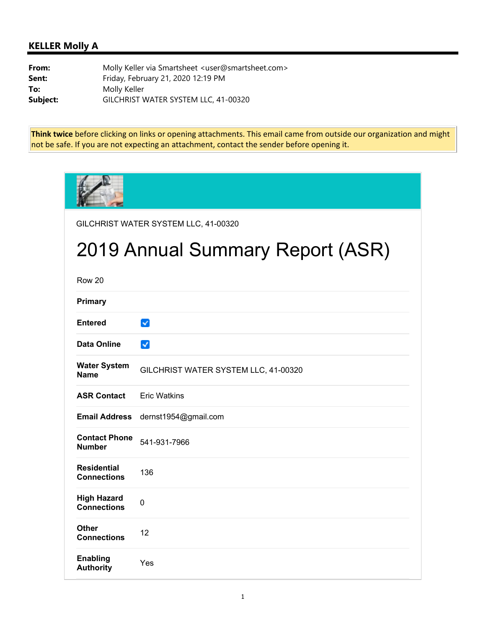## **KELLER Molly A**

| From:    | Molly Keller via Smartsheet <user@smartsheet.com></user@smartsheet.com> |
|----------|-------------------------------------------------------------------------|
| Sent:    | Friday, February 21, 2020 12:19 PM                                      |
| To:      | Molly Keller                                                            |
| Subject: | GILCHRIST WATER SYSTEM LLC, 41-00320                                    |

**Think twice** before clicking on links or opening attachments. This email came from outside our organization and might not be safe. If you are not expecting an attachment, contact the sender before opening it.

| GILCHRIST WATER SYSTEM LLC, 41-00320     |                                      |  |
|------------------------------------------|--------------------------------------|--|
| 2019 Annual Summary Report (ASR)         |                                      |  |
| Row 20                                   |                                      |  |
| Primary                                  |                                      |  |
| <b>Entered</b>                           | $\checkmark$                         |  |
| Data Online                              | $\checkmark$                         |  |
| <b>Water System</b><br>Name              | GILCHRIST WATER SYSTEM LLC, 41-00320 |  |
| <b>ASR Contact</b>                       | <b>Eric Watkins</b>                  |  |
| <b>Email Address</b>                     | dernst1954@gmail.com                 |  |
| <b>Contact Phone</b><br><b>Number</b>    | 541-931-7966                         |  |
| <b>Residential</b><br><b>Connections</b> | 136                                  |  |
| <b>High Hazard</b><br><b>Connections</b> | 0                                    |  |
| Other<br><b>Connections</b>              | 12                                   |  |
| <b>Enabling</b><br><b>Authority</b>      | Yes                                  |  |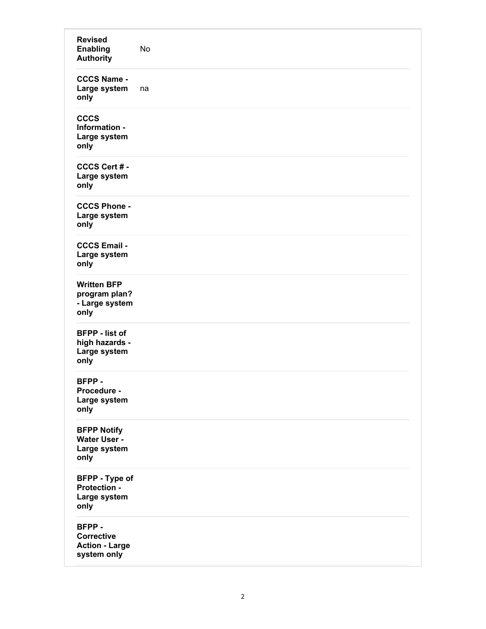| <b>Revised</b><br><b>Enabling</b><br><b>Authority</b>              | No |
|--------------------------------------------------------------------|----|
| <b>CCCS Name -</b><br>Large system<br>only                         | na |
| <b>CCCS</b><br>Information -<br>Large system<br>only               |    |
| CCCS Cert # -<br>Large system<br>only                              |    |
| <b>CCCS Phone -</b><br>Large system<br>only                        |    |
| <b>CCCS Email -</b><br>Large system<br>only                        |    |
| <b>Written BFP</b><br>program plan?<br>- Large system<br>only      |    |
| <b>BFPP - list of</b><br>high hazards -<br>Large system<br>only    |    |
| BFPP-<br>Procedure -<br>Large system<br>only                       |    |
| <b>BFPP Notify</b><br><b>Water User -</b><br>Large system<br>only  |    |
| <b>BFPP - Type of</b><br>Protection -<br>Large system<br>only      |    |
| BFPP-<br><b>Corrective</b><br><b>Action - Large</b><br>system only |    |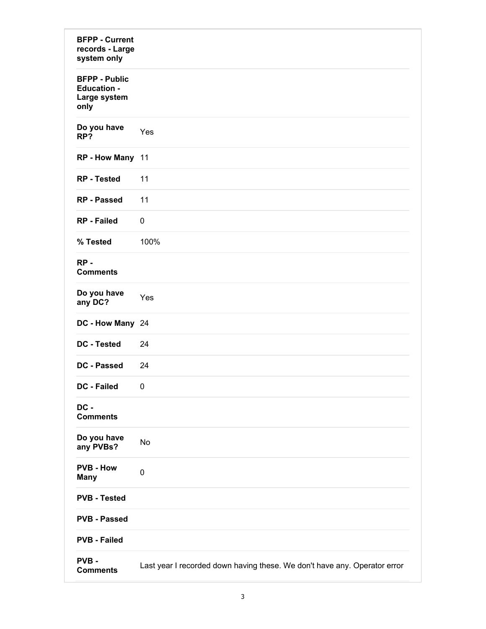| <b>BFPP - Current</b><br>records - Large<br>system only            |                                                                           |
|--------------------------------------------------------------------|---------------------------------------------------------------------------|
| <b>BFPP - Public</b><br><b>Education -</b><br>Large system<br>only |                                                                           |
| Do you have<br>RP?                                                 | Yes                                                                       |
| RP - How Many 11                                                   |                                                                           |
| <b>RP</b> - Tested                                                 | 11                                                                        |
| <b>RP</b> - Passed                                                 | 11                                                                        |
| <b>RP</b> - Failed                                                 | $\mathbf 0$                                                               |
| % Tested                                                           | 100%                                                                      |
| $RP -$<br><b>Comments</b>                                          |                                                                           |
| Do you have<br>any DC?                                             | Yes                                                                       |
| DC - How Many 24                                                   |                                                                           |
| <b>DC - Tested</b>                                                 | 24                                                                        |
| <b>DC - Passed</b>                                                 | 24                                                                        |
| DC - Failed                                                        | 0                                                                         |
| DC -<br><b>Comments</b>                                            |                                                                           |
| Do you have<br>any PVBs?                                           | No                                                                        |
| <b>PVB - How</b><br><b>Many</b>                                    | $\pmb{0}$                                                                 |
| <b>PVB - Tested</b>                                                |                                                                           |
| <b>PVB - Passed</b>                                                |                                                                           |
| <b>PVB - Failed</b>                                                |                                                                           |
| PVB-<br><b>Comments</b>                                            | Last year I recorded down having these. We don't have any. Operator error |